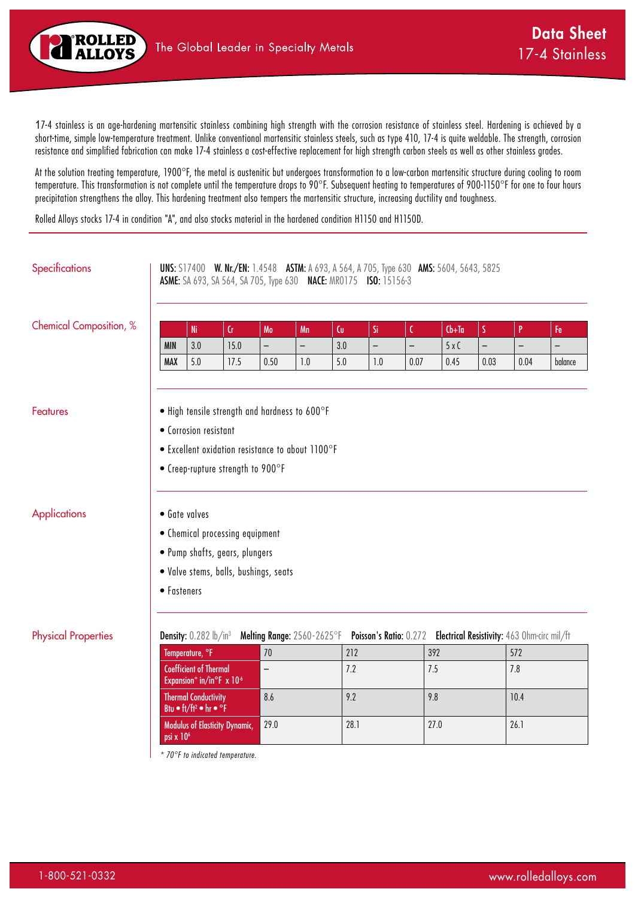

17-4 stainless is an age-hardening martensitic stainless combining high strength with the corrosion resistance of stainless steel. Hardening is achieved by a short-time, simple low-temperature treatment. Unlike conventional martensitic stainless steels, such as type 410, 17-4 is quite weldable. The strength, corrosion resistance and simplified fabrication can make 17-4 stainless a cost-effective replacement for high strength carbon steels as well as other stainless grades.

At the solution treating temperature, 1900°F, the metal is austenitic but undergoes transformation to a low-carbon martensitic structure during cooling to room temperature. This transformation is not complete until the temperature drops to 90°F. Subsequent heating to temperatures of 900-1150°F for one to four hours precipitation strengthens the alloy. This hardening treatment also tempers the martensitic structure, increasing ductility and toughness.

Rolled Alloys stocks 17-4 in condition "A", and also stocks material in the hardened condition H1150 and H1150D.

| Specifications             |                                                                        | UNS: S17400 W. Nr./EN: 1.4548 ASTM: A 693, A 564, A 705, Type 630 AMS: 5604, 5643, 5825<br><b>ASME:</b> SA 693, SA 564, SA 705, Type 630 <b>NACE:</b> MR0175 <b>ISO:</b> 15156-3 |                            |  |                          |                        |                |                   |                                                                    |                          |                          |                |
|----------------------------|------------------------------------------------------------------------|----------------------------------------------------------------------------------------------------------------------------------------------------------------------------------|----------------------------|--|--------------------------|------------------------|----------------|-------------------|--------------------------------------------------------------------|--------------------------|--------------------------|----------------|
|                            |                                                                        |                                                                                                                                                                                  |                            |  |                          |                        |                |                   |                                                                    |                          |                          |                |
| Chemical Composition, %    |                                                                        | $\mathsf{C}$<br>Ni                                                                                                                                                               | Mo                         |  | Mn                       | $\mathsf{C}\mathsf{u}$ | Si             | $\mathfrak{c}$    | $(b+Ia)$                                                           | S.                       | P                        | Fe             |
|                            | <b>MIN</b>                                                             | 3.0                                                                                                                                                                              | 15.0<br>$\qquad \qquad -$  |  | $\overline{\phantom{0}}$ | 3.0                    | $\overline{a}$ | $\qquad \qquad -$ | 5 x C                                                              | $\overline{\phantom{0}}$ | $\overline{\phantom{0}}$ | $\overline{a}$ |
|                            | <b>MAX</b>                                                             | 5.0<br>17.5                                                                                                                                                                      | 0.50                       |  | 1.0                      | 5.0                    | 1.0            | 0.07              | 0.45                                                               | 0.03                     | 0.04                     | balance        |
| <b>Features</b>            |                                                                        |                                                                                                                                                                                  |                            |  |                          |                        |                |                   |                                                                    |                          |                          |                |
|                            | . High tensile strength and hardness to 600°F<br>• Corrosion resistant |                                                                                                                                                                                  |                            |  |                          |                        |                |                   |                                                                    |                          |                          |                |
|                            | • Excellent oxidation resistance to about 1100°F                       |                                                                                                                                                                                  |                            |  |                          |                        |                |                   |                                                                    |                          |                          |                |
|                            | • Creep-rupture strength to 900°F                                      |                                                                                                                                                                                  |                            |  |                          |                        |                |                   |                                                                    |                          |                          |                |
| <b>Applications</b>        | • Gate valves                                                          |                                                                                                                                                                                  |                            |  |                          |                        |                |                   |                                                                    |                          |                          |                |
|                            | • Chemical processing equipment                                        |                                                                                                                                                                                  |                            |  |                          |                        |                |                   |                                                                    |                          |                          |                |
|                            | · Pump shafts, gears, plungers                                         |                                                                                                                                                                                  |                            |  |                          |                        |                |                   |                                                                    |                          |                          |                |
|                            | . Valve stems, balls, bushings, seats                                  |                                                                                                                                                                                  |                            |  |                          |                        |                |                   |                                                                    |                          |                          |                |
|                            |                                                                        |                                                                                                                                                                                  |                            |  |                          |                        |                |                   |                                                                    |                          |                          |                |
|                            | • Fasteners                                                            |                                                                                                                                                                                  |                            |  |                          |                        |                |                   |                                                                    |                          |                          |                |
|                            |                                                                        |                                                                                                                                                                                  |                            |  |                          |                        |                |                   |                                                                    |                          |                          |                |
| <b>Physical Properties</b> |                                                                        | <b>Density:</b> $0.282$ lb/in <sup>3</sup>                                                                                                                                       | Melting Range: 2560-2625°F |  |                          |                        |                |                   | Poisson's Ratio: 0.272 Electrical Resistivity: 463 Ohm-circ mil/ft |                          |                          |                |
|                            |                                                                        | Temperature, °F                                                                                                                                                                  | 70                         |  |                          | 212                    |                |                   | 392                                                                |                          | 572                      |                |
|                            |                                                                        | <b>Coefficient of Thermal</b><br>Expansion* in/in°F x 10 <sup>-6</sup>                                                                                                           | $\overline{\phantom{a}}$   |  |                          | 7.2                    |                |                   | 7.5                                                                |                          | 7.8                      |                |
|                            |                                                                        | <b>Thermal Conductivity</b><br>Btu · ft/ft <sup>2</sup> · hr · F                                                                                                                 | 8.6                        |  |                          | 9.2                    |                |                   | 9.8                                                                |                          | 10.4                     |                |
|                            |                                                                        | Modulus of Elasticity Dynamic,                                                                                                                                                   | 29.0                       |  |                          | 28.1                   |                |                   | 27.0                                                               |                          | 26.1                     |                |